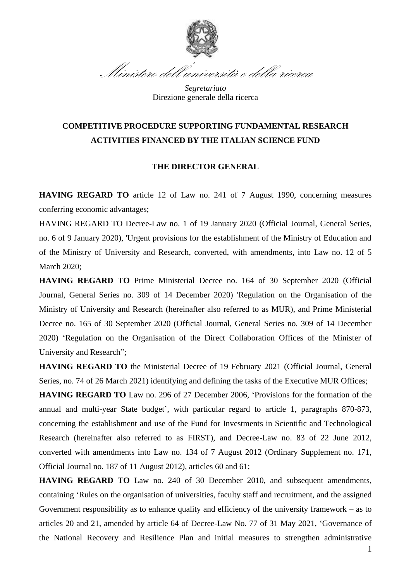

*Segretariato*  Direzione generale della ricerca

# **COMPETITIVE PROCEDURE SUPPORTING FUNDAMENTAL RESEARCH ACTIVITIES FINANCED BY THE ITALIAN SCIENCE FUND**

#### **THE DIRECTOR GENERAL**

**HAVING REGARD TO** article 12 of Law no. 241 of 7 August 1990, concerning measures conferring economic advantages;

HAVING REGARD TO Decree-Law no. 1 of 19 January 2020 (Official Journal, General Series, no. 6 of 9 January 2020), 'Urgent provisions for the establishment of the Ministry of Education and of the Ministry of University and Research, converted, with amendments, into Law no. 12 of 5 March 2020;

**HAVING REGARD TO** Prime Ministerial Decree no. 164 of 30 September 2020 (Official Journal, General Series no. 309 of 14 December 2020) 'Regulation on the Organisation of the Ministry of University and Research (hereinafter also referred to as MUR), and Prime Ministerial Decree no. 165 of 30 September 2020 (Official Journal, General Series no. 309 of 14 December 2020) 'Regulation on the Organisation of the Direct Collaboration Offices of the Minister of University and Research";

**HAVING REGARD TO** the Ministerial Decree of 19 February 2021 (Official Journal, General Series, no. 74 of 26 March 2021) identifying and defining the tasks of the Executive MUR Offices;

**HAVING REGARD TO** Law no. 296 of 27 December 2006, 'Provisions for the formation of the annual and multi-year State budget', with particular regard to article 1, paragraphs 870-873, concerning the establishment and use of the Fund for Investments in Scientific and Technological Research (hereinafter also referred to as FIRST), and Decree-Law no. 83 of 22 June 2012, converted with amendments into Law no. 134 of 7 August 2012 (Ordinary Supplement no. 171, Official Journal no. 187 of 11 August 2012), articles 60 and 61;

**HAVING REGARD TO** Law no. 240 of 30 December 2010, and subsequent amendments, containing 'Rules on the organisation of universities, faculty staff and recruitment, and the assigned Government responsibility as to enhance quality and efficiency of the university framework – as to articles 20 and 21, amended by article 64 of Decree-Law No. 77 of 31 May 2021, 'Governance of the National Recovery and Resilience Plan and initial measures to strengthen administrative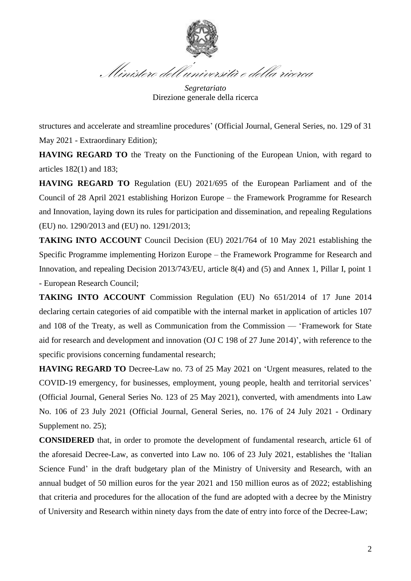

*Segretariato*  Direzione generale della ricerca

structures and accelerate and streamline procedures' (Official Journal, General Series, no. 129 of 31 May 2021 - Extraordinary Edition);

**HAVING REGARD TO** the Treaty on the Functioning of the European Union, with regard to articles 182(1) and 183;

**HAVING REGARD TO** Regulation (EU) 2021/695 of the European Parliament and of the Council of 28 April 2021 establishing Horizon Europe – the Framework Programme for Research and Innovation, laying down its rules for participation and dissemination, and repealing Regulations (EU) no. 1290/2013 and (EU) no. 1291/2013;

**TAKING INTO ACCOUNT** Council Decision (EU) 2021/764 of 10 May 2021 establishing the Specific Programme implementing Horizon Europe – the Framework Programme for Research and Innovation, and repealing Decision 2013/743/EU, article 8(4) and (5) and Annex 1, Pillar I, point 1 - European Research Council;

**TAKING INTO ACCOUNT** Commission Regulation (EU) No 651/2014 of 17 June 2014 declaring certain categories of aid compatible with the internal market in application of articles 107 and 108 of the Treaty, as well as Communication from the Commission — 'Framework for State aid for research and development and innovation (OJ C 198 of 27 June 2014)', with reference to the specific provisions concerning fundamental research;

**HAVING REGARD TO** Decree-Law no. 73 of 25 May 2021 on 'Urgent measures, related to the COVID-19 emergency, for businesses, employment, young people, health and territorial services' (Official Journal, General Series No. 123 of 25 May 2021), converted, with amendments into Law No. 106 of 23 July 2021 (Official Journal, General Series, no. 176 of 24 July 2021 - Ordinary Supplement no. 25):

**CONSIDERED** that, in order to promote the development of fundamental research, article 61 of the aforesaid Decree-Law, as converted into Law no. 106 of 23 July 2021, establishes the 'Italian Science Fund' in the draft budgetary plan of the Ministry of University and Research, with an annual budget of 50 million euros for the year 2021 and 150 million euros as of 2022; establishing that criteria and procedures for the allocation of the fund are adopted with a decree by the Ministry of University and Research within ninety days from the date of entry into force of the Decree-Law;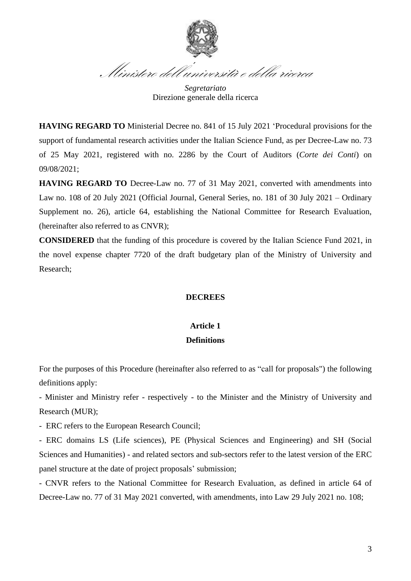

*Segretariato*  Direzione generale della ricerca

**HAVING REGARD TO** Ministerial Decree no. 841 of 15 July 2021 'Procedural provisions for the support of fundamental research activities under the Italian Science Fund, as per Decree-Law no. 73 of 25 May 2021, registered with no. 2286 by the Court of Auditors (*Corte dei Conti*) on 09/08/2021;

**HAVING REGARD TO** Decree-Law no. 77 of 31 May 2021, converted with amendments into Law no. 108 of 20 July 2021 (Official Journal, General Series, no. 181 of 30 July 2021 – Ordinary Supplement no. 26), article 64, establishing the National Committee for Research Evaluation, (hereinafter also referred to as CNVR);

**CONSIDERED** that the funding of this procedure is covered by the Italian Science Fund 2021, in the novel expense chapter 7720 of the draft budgetary plan of the Ministry of University and Research;

#### **DECREES**

## **Article 1**

#### **Definitions**

For the purposes of this Procedure (hereinafter also referred to as "call for proposals") the following definitions apply:

- Minister and Ministry refer - respectively - to the Minister and the Ministry of University and Research (MUR);

- ERC refers to the European Research Council;

- ERC domains LS (Life sciences), PE (Physical Sciences and Engineering) and SH (Social Sciences and Humanities) - and related sectors and sub-sectors refer to the latest version of the ERC panel structure at the date of project proposals' submission;

- CNVR refers to the National Committee for Research Evaluation, as defined in article 64 of Decree-Law no. 77 of 31 May 2021 converted, with amendments, into Law 29 July 2021 no. 108;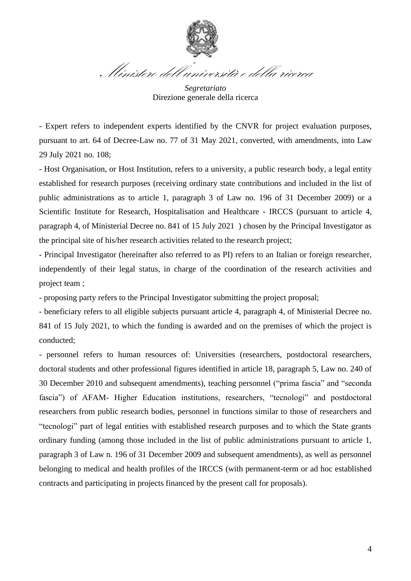

*Segretariato*  Direzione generale della ricerca

- Expert refers to independent experts identified by the CNVR for project evaluation purposes, pursuant to art. 64 of Decree-Law no. 77 of 31 May 2021, converted, with amendments, into Law 29 July 2021 no. 108;

- Host Organisation, or Host Institution, refers to a university, a public research body, a legal entity established for research purposes (receiving ordinary state contributions and included in the list of public administrations as to article 1, paragraph 3 of Law no. 196 of 31 December 2009) or a Scientific Institute for Research, Hospitalisation and Healthcare - IRCCS (pursuant to article 4, paragraph 4, of Ministerial Decree no. 841 of 15 July 2021 ) chosen by the Principal Investigator as the principal site of his/her research activities related to the research project;

- Principal Investigator (hereinafter also referred to as PI) refers to an Italian or foreign researcher, independently of their legal status, in charge of the coordination of the research activities and project team ;

- proposing party refers to the Principal Investigator submitting the project proposal;

- beneficiary refers to all eligible subjects pursuant article 4, paragraph 4, of Ministerial Decree no. 841 of 15 July 2021, to which the funding is awarded and on the premises of which the project is conducted;

- personnel refers to human resources of: Universities (researchers, postdoctoral researchers, doctoral students and other professional figures identified in article 18, paragraph 5, Law no. 240 of 30 December 2010 and subsequent amendments), teaching personnel ("prima fascia" and "seconda fascia") of AFAM- Higher Education institutions, researchers, "tecnologi" and postdoctoral researchers from public research bodies, personnel in functions similar to those of researchers and "tecnologi" part of legal entities with established research purposes and to which the State grants ordinary funding (among those included in the list of public administrations pursuant to article 1, paragraph 3 of Law n. 196 of 31 December 2009 and subsequent amendments), as well as personnel belonging to medical and health profiles of the IRCCS (with permanent-term or ad hoc established contracts and participating in projects financed by the present call for proposals).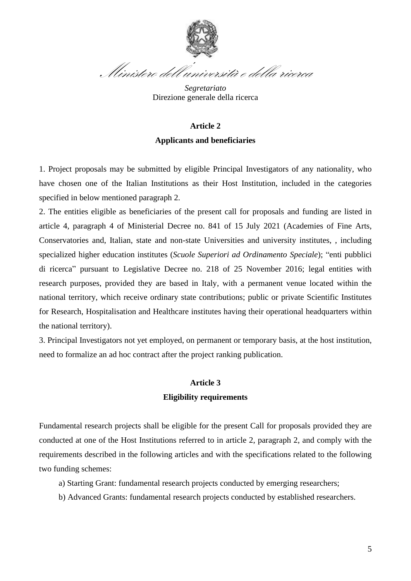

*Segretariato*  Direzione generale della ricerca

## **Article 2**

#### **Applicants and beneficiaries**

1. Project proposals may be submitted by eligible Principal Investigators of any nationality, who have chosen one of the Italian Institutions as their Host Institution, included in the categories specified in below mentioned paragraph 2.

2. The entities eligible as beneficiaries of the present call for proposals and funding are listed in article 4, paragraph 4 of Ministerial Decree no. 841 of 15 July 2021 (Academies of Fine Arts, Conservatories and, Italian, state and non-state Universities and university institutes, , including specialized higher education institutes (*Scuole Superiori ad Ordinamento Speciale*); "enti pubblici di ricerca" pursuant to Legislative Decree no. 218 of 25 November 2016; legal entities with research purposes, provided they are based in Italy, with a permanent venue located within the national territory, which receive ordinary state contributions; public or private Scientific Institutes for Research, Hospitalisation and Healthcare institutes having their operational headquarters within the national territory).

3. Principal Investigators not yet employed, on permanent or temporary basis, at the host institution, need to formalize an ad hoc contract after the project ranking publication.

## **Article 3 Eligibility requirements**

Fundamental research projects shall be eligible for the present Call for proposals provided they are conducted at one of the Host Institutions referred to in article 2, paragraph 2, and comply with the requirements described in the following articles and with the specifications related to the following two funding schemes:

a) Starting Grant: fundamental research projects conducted by emerging researchers;

b) Advanced Grants: fundamental research projects conducted by established researchers.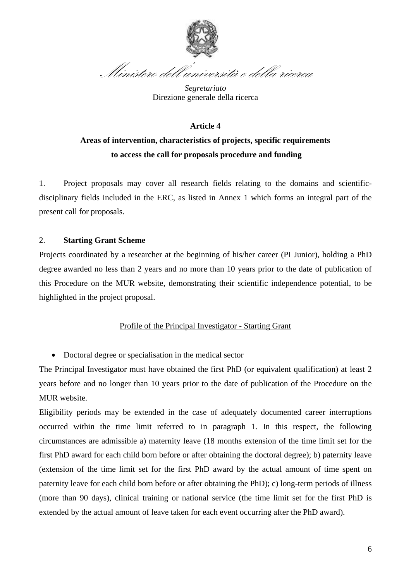

*Segretariato*  Direzione generale della ricerca

# **Article 4 Areas of intervention, characteristics of projects, specific requirements to access the call for proposals procedure and funding**

1. Project proposals may cover all research fields relating to the domains and scientificdisciplinary fields included in the ERC, as listed in Annex 1 which forms an integral part of the present call for proposals.

## 2. **Starting Grant Scheme**

Projects coordinated by a researcher at the beginning of his/her career (PI Junior), holding a PhD degree awarded no less than 2 years and no more than 10 years prior to the date of publication of this Procedure on the MUR website, demonstrating their scientific independence potential, to be highlighted in the project proposal.

### Profile of the Principal Investigator - Starting Grant

• Doctoral degree or specialisation in the medical sector

The Principal Investigator must have obtained the first PhD (or equivalent qualification) at least 2 years before and no longer than 10 years prior to the date of publication of the Procedure on the MUR website.

Eligibility periods may be extended in the case of adequately documented career interruptions occurred within the time limit referred to in paragraph 1. In this respect, the following circumstances are admissible a) maternity leave (18 months extension of the time limit set for the first PhD award for each child born before or after obtaining the doctoral degree); b) paternity leave (extension of the time limit set for the first PhD award by the actual amount of time spent on paternity leave for each child born before or after obtaining the PhD); c) long-term periods of illness (more than 90 days), clinical training or national service (the time limit set for the first PhD is extended by the actual amount of leave taken for each event occurring after the PhD award).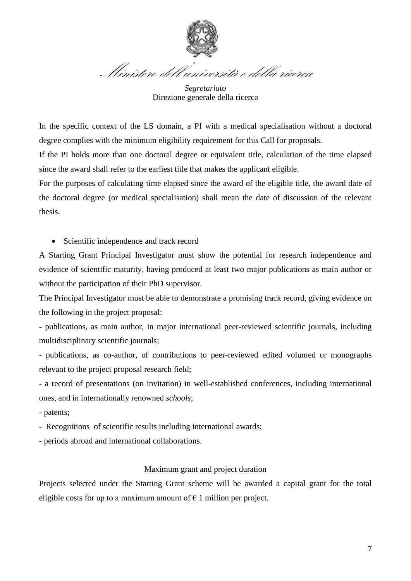

*Segretariato*  Direzione generale della ricerca

In the specific context of the LS domain, a PI with a medical specialisation without a doctoral degree complies with the minimum eligibility requirement for this Call for proposals.

If the PI holds more than one doctoral degree or equivalent title, calculation of the time elapsed since the award shall refer to the earliest title that makes the applicant eligible.

For the purposes of calculating time elapsed since the award of the eligible title, the award date of the doctoral degree (or medical specialisation) shall mean the date of discussion of the relevant thesis.

• Scientific independence and track record

A Starting Grant Principal Investigator must show the potential for research independence and evidence of scientific maturity, having produced at least two major publications as main author or without the participation of their PhD supervisor.

The Principal Investigator must be able to demonstrate a promising track record, giving evidence on the following in the project proposal:

- publications, as main author, in major international peer-reviewed scientific journals, including multidisciplinary scientific journals;

- publications, as co-author, of contributions to peer-reviewed edited volumed or monographs relevant to the project proposal research field;

- a record of presentations (on invitation) in well-established conferences, including international ones, and in internationally renowned *schools*;

- patents;
- Recognitions of scientific results including international awards;
- periods abroad and international collaborations.

#### Maximum grant and project duration

Projects selected under the Starting Grant scheme will be awarded a capital grant for the total eligible costs for up to a maximum amount of  $\epsilon$  1 million per project.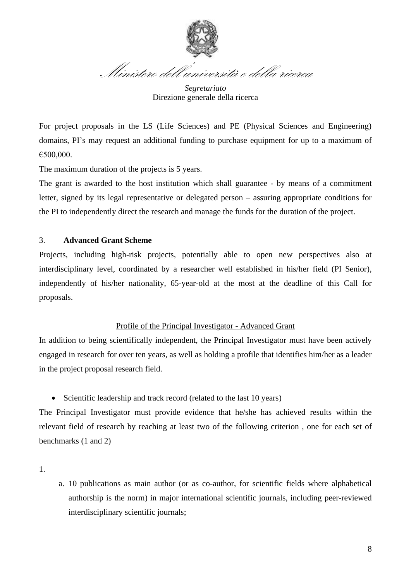

*Segretariato*  Direzione generale della ricerca

For project proposals in the LS (Life Sciences) and PE (Physical Sciences and Engineering) domains, PI's may request an additional funding to purchase equipment for up to a maximum of €500,000.

The maximum duration of the projects is 5 years.

The grant is awarded to the host institution which shall guarantee - by means of a commitment letter, signed by its legal representative or delegated person – assuring appropriate conditions for the PI to independently direct the research and manage the funds for the duration of the project.

### 3. **Advanced Grant Scheme**

Projects, including high-risk projects, potentially able to open new perspectives also at interdisciplinary level, coordinated by a researcher well established in his/her field (PI Senior), independently of his/her nationality, 65-year-old at the most at the deadline of this Call for proposals.

#### Profile of the Principal Investigator - Advanced Grant

In addition to being scientifically independent, the Principal Investigator must have been actively engaged in research for over ten years, as well as holding a profile that identifies him/her as a leader in the project proposal research field.

### • Scientific leadership and track record (related to the last 10 years)

The Principal Investigator must provide evidence that he/she has achieved results within the relevant field of research by reaching at least two of the following criterion , one for each set of benchmarks (1 and 2)

a. 10 publications as main author (or as co-author, for scientific fields where alphabetical authorship is the norm) in major international scientific journals, including peer-reviewed interdisciplinary scientific journals;

<sup>1.</sup>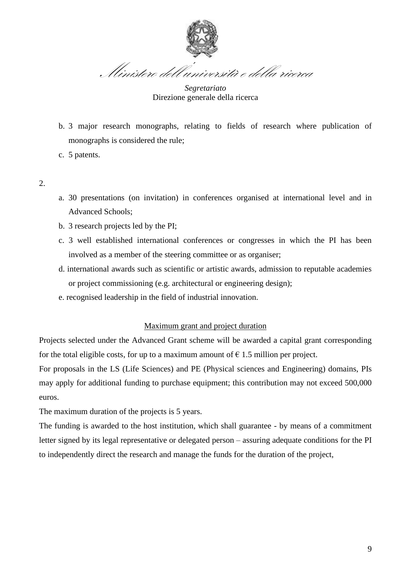

*Segretariato*  Direzione generale della ricerca

- b. 3 major research monographs, relating to fields of research where publication of monographs is considered the rule;
- c. 5 patents.

2.

- a. 30 presentations (on invitation) in conferences organised at international level and in Advanced Schools;
- b. 3 research projects led by the PI;
- c. 3 well established international conferences or congresses in which the PI has been involved as a member of the steering committee or as organiser;
- d. international awards such as scientific or artistic awards, admission to reputable academies or project commissioning (e.g. architectural or engineering design);
- e. recognised leadership in the field of industrial innovation.

#### Maximum grant and project duration

Projects selected under the Advanced Grant scheme will be awarded a capital grant corresponding for the total eligible costs, for up to a maximum amount of  $\epsilon$  1.5 million per project.

For proposals in the LS (Life Sciences) and PE (Physical sciences and Engineering) domains, PIs may apply for additional funding to purchase equipment; this contribution may not exceed 500,000 euros.

The maximum duration of the projects is 5 years.

The funding is awarded to the host institution, which shall guarantee - by means of a commitment letter signed by its legal representative or delegated person – assuring adequate conditions for the PI to independently direct the research and manage the funds for the duration of the project,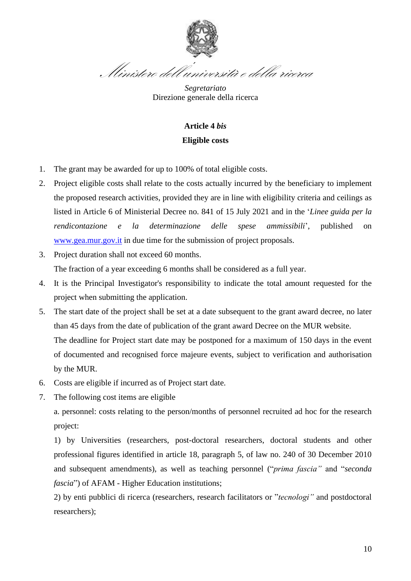

*Segretariato*  Direzione generale della ricerca

## **Article 4** *bis* **Eligible costs**

- 1. The grant may be awarded for up to 100% of total eligible costs.
- 2. Project eligible costs shall relate to the costs actually incurred by the beneficiary to implement the proposed research activities, provided they are in line with eligibility criteria and ceilings as listed in Article 6 of Ministerial Decree no. 841 of 15 July 2021 and in the '*Linee guida per la rendicontazione e la determinazione delle spese ammissibili*', published on [www.gea.mur.gov.it](http://www.gea.mur.gov.it/) in due time for the submission of project proposals.
- 3. Project duration shall not exceed 60 months. The fraction of a year exceeding 6 months shall be considered as a full year.
- 4. It is the Principal Investigator's responsibility to indicate the total amount requested for the project when submitting the application.
- 5. The start date of the project shall be set at a date subsequent to the grant award decree, no later than 45 days from the date of publication of the grant award Decree on the MUR website. The deadline for Project start date may be postponed for a maximum of 150 days in the event of documented and recognised force majeure events, subject to verification and authorisation by the MUR.
- 6. Costs are eligible if incurred as of Project start date.
- 7. The following cost items are eligible

a. personnel: costs relating to the person/months of personnel recruited ad hoc for the research project:

1) by Universities (researchers, post-doctoral researchers, doctoral students and other professional figures identified in article 18, paragraph 5, of law no. 240 of 30 December 2010 and subsequent amendments), as well as teaching personnel ("*prima fascia"* and "*seconda fascia*") of AFAM - Higher Education institutions;

2) by enti pubblici di ricerca (researchers, research facilitators or "*tecnologi"* and postdoctoral researchers);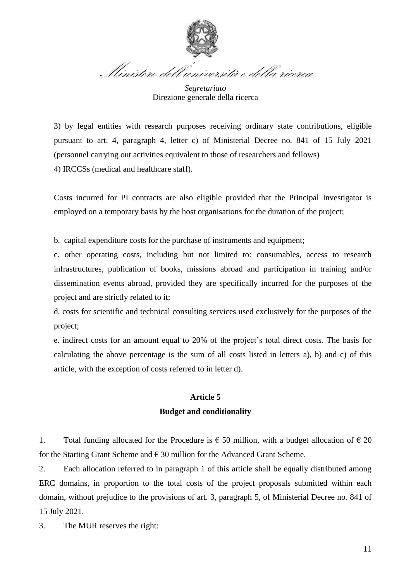

*Segretariato*  Direzione generale della ricerca

3) by legal entities with research purposes receiving ordinary state contributions, eligible pursuant to art. 4, paragraph 4, letter c) of Ministerial Decree no. 841 of 15 July 2021 (personnel carrying out activities equivalent to those of researchers and fellows) 4) IRCCSs (medical and healthcare staff).

Costs incurred for PI contracts are also eligible provided that the Principal Investigator is employed on a temporary basis by the host organisations for the duration of the project;

b. capital expenditure costs for the purchase of instruments and equipment;

c. other operating costs, including but not limited to: consumables, access to research infrastructures, publication of books, missions abroad and participation in training and/or dissemination events abroad, provided they are specifically incurred for the purposes of the project and are strictly related to it;

d. costs for scientific and technical consulting services used exclusively for the purposes of the project;

e. indirect costs for an amount equal to 20% of the project's total direct costs. The basis for calculating the above percentage is the sum of all costs listed in letters a), b) and c) of this article, with the exception of costs referred to in letter d).

## **Article 5 Budget and conditionality**

1. Total funding allocated for the Procedure is  $\epsilon$  50 million, with a budget allocation of  $\epsilon$  20 for the Starting Grant Scheme and  $\epsilon$  30 million for the Advanced Grant Scheme.

2. Each allocation referred to in paragraph 1 of this article shall be equally distributed among ERC domains, in proportion to the total costs of the project proposals submitted within each domain, without prejudice to the provisions of art. 3, paragraph 5, of Ministerial Decree no. 841 of 15 July 2021.

3. The MUR reserves the right: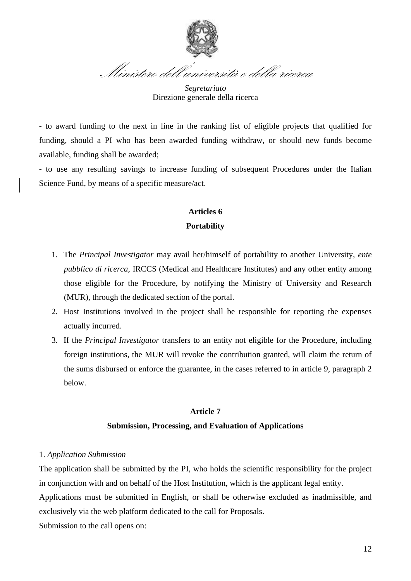

*Segretariato*  Direzione generale della ricerca

- to award funding to the next in line in the ranking list of eligible projects that qualified for funding, should a PI who has been awarded funding withdraw, or should new funds become available, funding shall be awarded;

- to use any resulting savings to increase funding of subsequent Procedures under the Italian Science Fund, by means of a specific measure/act.

## **Articles 6 Portability**

- 1. The *Principal Investigator* may avail her/himself of portability to another University, *ente pubblico di ricerca*, IRCCS (Medical and Healthcare Institutes) and any other entity among those eligible for the Procedure, by notifying the Ministry of University and Research (MUR), through the dedicated section of the portal.
- 2. Host Institutions involved in the project shall be responsible for reporting the expenses actually incurred.
- 3. If the *Principal Investigator* transfers to an entity not eligible for the Procedure, including foreign institutions, the MUR will revoke the contribution granted, will claim the return of the sums disbursed or enforce the guarantee, in the cases referred to in article 9, paragraph 2 below.

## **Article 7 Submission, Processing, and Evaluation of Applications**

#### 1. *Application Submission*

The application shall be submitted by the PI, who holds the scientific responsibility for the project in conjunction with and on behalf of the Host Institution, which is the applicant legal entity.

Applications must be submitted in English, or shall be otherwise excluded as inadmissible, and exclusively via the web platform dedicated to the call for Proposals.

Submission to the call opens on: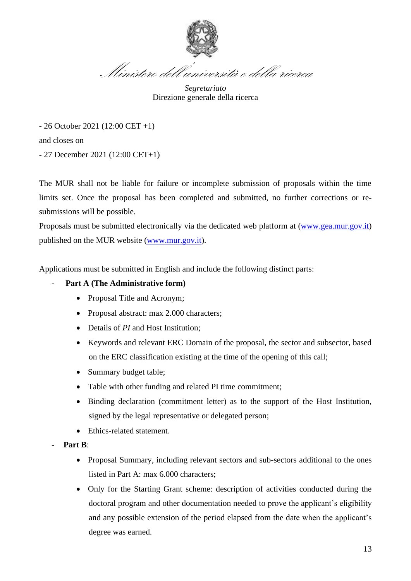

*Segretariato*  Direzione generale della ricerca

- 26 October 2021 (12:00 CET +1)

and closes on

- 27 December 2021 (12:00 CET+1)

The MUR shall not be liable for failure or incomplete submission of proposals within the time limits set. Once the proposal has been completed and submitted, no further corrections or resubmissions will be possible.

Proposals must be submitted electronically via the dedicated web platform at [\(www.gea.mur.gov.it\)](http://www.gea.mur.gov.it/) published on the MUR website [\(www.mur.gov.it\)](http://www.mur.gov.it/).

Applications must be submitted in English and include the following distinct parts:

## Part A (The Administrative form)

- Proposal Title and Acronym;
- Proposal abstract: max 2.000 characters;
- Details of *PI* and Host Institution:
- Keywords and relevant ERC Domain of the proposal, the sector and subsector, based on the ERC classification existing at the time of the opening of this call;
- Summary budget table;
- Table with other funding and related PI time commitment;
- Binding declaration (commitment letter) as to the support of the Host Institution, signed by the legal representative or delegated person;
- Ethics-related statement.
- Part  $\mathbf{R}$ <sup>.</sup>
	- Proposal Summary, including relevant sectors and sub-sectors additional to the ones listed in Part A: max 6.000 characters;
	- Only for the Starting Grant scheme: description of activities conducted during the doctoral program and other documentation needed to prove the applicant's eligibility and any possible extension of the period elapsed from the date when the applicant's degree was earned.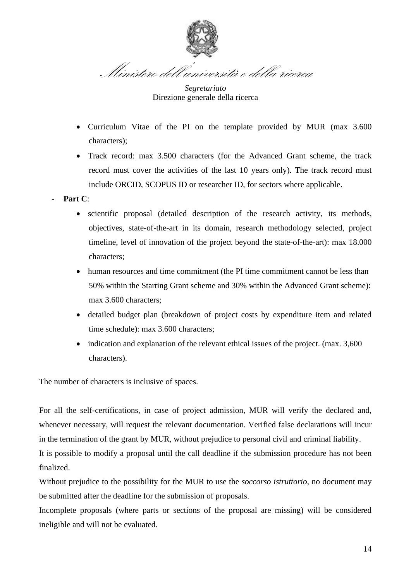

*Segretariato*  Direzione generale della ricerca

- Curriculum Vitae of the PI on the template provided by MUR (max 3.600 characters);
- Track record: max 3.500 characters (for the Advanced Grant scheme, the track record must cover the activities of the last 10 years only). The track record must include ORCID, SCOPUS ID or researcher ID, for sectors where applicable.
- Part C:
	- scientific proposal (detailed description of the research activity, its methods, objectives, state-of-the-art in its domain, research methodology selected, project timeline, level of innovation of the project beyond the state-of-the-art): max 18.000 characters;
	- human resources and time commitment (the PI time commitment cannot be less than 50% within the Starting Grant scheme and 30% within the Advanced Grant scheme): max 3.600 characters;
	- detailed budget plan (breakdown of project costs by expenditure item and related time schedule): max 3.600 characters;
	- indication and explanation of the relevant ethical issues of the project. (max. 3,600) characters).

The number of characters is inclusive of spaces.

For all the self-certifications, in case of project admission, MUR will verify the declared and, whenever necessary, will request the relevant documentation. Verified false declarations will incur in the termination of the grant by MUR, without prejudice to personal civil and criminal liability. It is possible to modify a proposal until the call deadline if the submission procedure has not been

finalized.

Without prejudice to the possibility for the MUR to use the *soccorso istruttorio*, no document may be submitted after the deadline for the submission of proposals.

Incomplete proposals (where parts or sections of the proposal are missing) will be considered ineligible and will not be evaluated.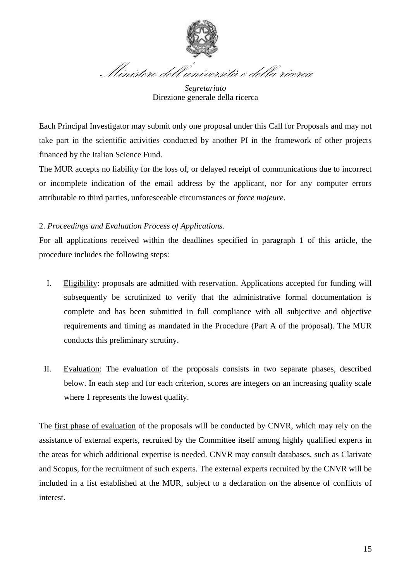

*Segretariato*  Direzione generale della ricerca

Each Principal Investigator may submit only one proposal under this Call for Proposals and may not take part in the scientific activities conducted by another PI in the framework of other projects financed by the Italian Science Fund.

The MUR accepts no liability for the loss of, or delayed receipt of communications due to incorrect or incomplete indication of the email address by the applicant, nor for any computer errors attributable to third parties, unforeseeable circumstances or *force majeure*.

### 2. *Proceedings and Evaluation Process of Applications.*

For all applications received within the deadlines specified in paragraph 1 of this article, the procedure includes the following steps:

- I. Eligibility: proposals are admitted with reservation. Applications accepted for funding will subsequently be scrutinized to verify that the administrative formal documentation is complete and has been submitted in full compliance with all subjective and objective requirements and timing as mandated in the Procedure (Part A of the proposal). The MUR conducts this preliminary scrutiny.
- II. Evaluation: The evaluation of the proposals consists in two separate phases, described below. In each step and for each criterion, scores are integers on an increasing quality scale where 1 represents the lowest quality.

The first phase of evaluation of the proposals will be conducted by CNVR, which may rely on the assistance of external experts, recruited by the Committee itself among highly qualified experts in the areas for which additional expertise is needed. CNVR may consult databases, such as Clarivate and Scopus, for the recruitment of such experts. The external experts recruited by the CNVR will be included in a list established at the MUR, subject to a declaration on the absence of conflicts of interest.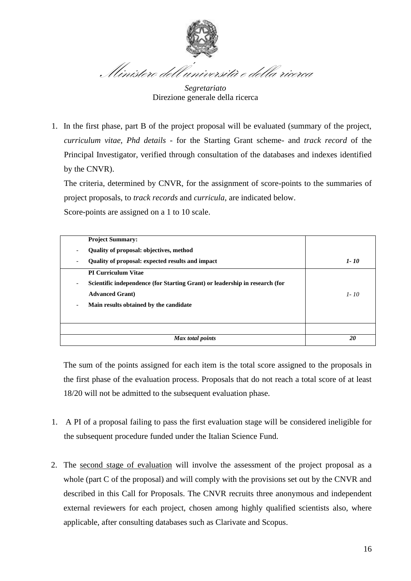

*Segretariato*  Direzione generale della ricerca

1. In the first phase, part B of the project proposal will be evaluated (summary of the project, *curriculum vitae, Phd details* - for the Starting Grant scheme- and *track record* of the Principal Investigator, verified through consultation of the databases and indexes identified by the CNVR).

The criteria, determined by CNVR, for the assignment of score-points to the summaries of project proposals, to *track records* and *curricula*, are indicated below.

Score-points are assigned on a 1 to 10 scale.

| <b>Project Summary:</b>                                                          |          |
|----------------------------------------------------------------------------------|----------|
| Quality of proposal: objectives, method<br>-                                     |          |
| Quality of proposal: expected results and impact                                 | $1 - 10$ |
| <b>PI Curriculum Vitae</b>                                                       |          |
| Scientific independence (for Starting Grant) or leadership in research (for<br>- |          |
| <b>Advanced Grant</b> )                                                          | $1 - 10$ |
| Main results obtained by the candidate<br>-                                      |          |
|                                                                                  |          |
|                                                                                  |          |
| Max total points                                                                 | 20       |

The sum of the points assigned for each item is the total score assigned to the proposals in the first phase of the evaluation process. Proposals that do not reach a total score of at least 18/20 will not be admitted to the subsequent evaluation phase.

- 1. A PI of a proposal failing to pass the first evaluation stage will be considered ineligible for the subsequent procedure funded under the Italian Science Fund.
- 2. The second stage of evaluation will involve the assessment of the project proposal as a whole (part C of the proposal) and will comply with the provisions set out by the CNVR and described in this Call for Proposals. The CNVR recruits three anonymous and independent external reviewers for each project, chosen among highly qualified scientists also, where applicable, after consulting databases such as Clarivate and Scopus.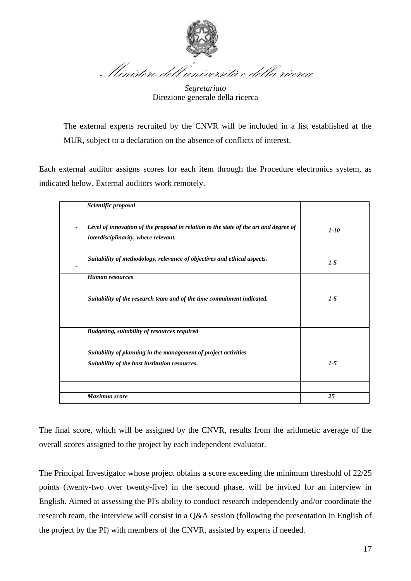

*Segretariato*  Direzione generale della ricerca

The external experts recruited by the CNVR will be included in a list established at the MUR, subject to a declaration on the absence of conflicts of interest.

Each external auditor assigns scores for each item through the Procedure electronics system, as indicated below. External auditors work remotely.

| Scientific proposal                                                                                                           |          |
|-------------------------------------------------------------------------------------------------------------------------------|----------|
| Level of innovation of the proposal in relation to the state of the art and degree of<br>interdisciplinarity, where relevant. | $1 - 10$ |
| Suitability of methodology, relevance of objectives and ethical aspects.                                                      | $1-5$    |
| Human resources                                                                                                               |          |
| Suitability of the research team and of the time commitment indicated.                                                        | $1-5$    |
| Budgeting, suitability of resources required                                                                                  |          |
| Suitability of planning in the management of project activities<br>Suitability of the host institution resources.             | $1-5$    |
|                                                                                                                               |          |
| Maximun score                                                                                                                 | 25       |

The final score, which will be assigned by the CNVR, results from the arithmetic average of the overall scores assigned to the project by each independent evaluator.

The Principal Investigator whose project obtains a score exceeding the minimum threshold of 22/25 points (twenty-two over twenty-five) in the second phase, will be invited for an interview in English. Aimed at assessing the PI's ability to conduct research independently and/or coordinate the research team, the interview will consist in a Q&A session (following the presentation in English of the project by the PI) with members of the CNVR, assisted by experts if needed.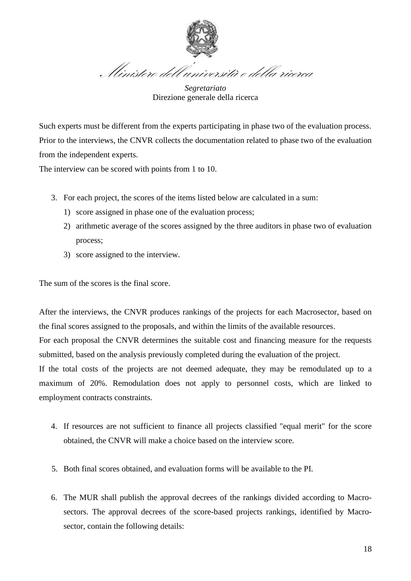

*Segretariato*  Direzione generale della ricerca

Such experts must be different from the experts participating in phase two of the evaluation process. Prior to the interviews, the CNVR collects the documentation related to phase two of the evaluation from the independent experts.

The interview can be scored with points from 1 to 10.

- 3. For each project, the scores of the items listed below are calculated in a sum:
	- 1) score assigned in phase one of the evaluation process;
	- 2) arithmetic average of the scores assigned by the three auditors in phase two of evaluation process;
	- 3) score assigned to the interview.

The sum of the scores is the final score.

After the interviews, the CNVR produces rankings of the projects for each Macrosector, based on the final scores assigned to the proposals, and within the limits of the available resources. For each proposal the CNVR determines the suitable cost and financing measure for the requests submitted, based on the analysis previously completed during the evaluation of the project. If the total costs of the projects are not deemed adequate, they may be remodulated up to a maximum of 20%. Remodulation does not apply to personnel costs, which are linked to employment contracts constraints.

- 4. If resources are not sufficient to finance all projects classified "equal merit" for the score obtained, the CNVR will make a choice based on the interview score.
- 5. Both final scores obtained, and evaluation forms will be available to the PI.
- 6. The MUR shall publish the approval decrees of the rankings divided according to Macrosectors. The approval decrees of the score-based projects rankings, identified by Macrosector, contain the following details: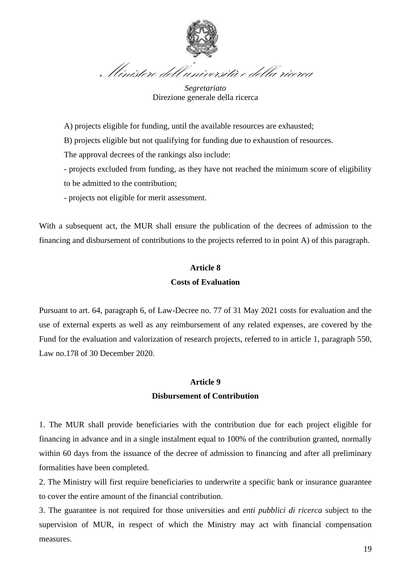

*Segretariato*  Direzione generale della ricerca

A) projects eligible for funding, until the available resources are exhausted;

B) projects eligible but not qualifying for funding due to exhaustion of resources.

The approval decrees of the rankings also include:

- projects excluded from funding, as they have not reached the minimum score of eligibility to be admitted to the contribution;

- projects not eligible for merit assessment.

With a subsequent act, the MUR shall ensure the publication of the decrees of admission to the financing and disbursement of contributions to the projects referred to in point A) of this paragraph.

## **Article 8**

#### **Costs of Evaluation**

Pursuant to art. 64, paragraph 6, of Law-Decree no. 77 of 31 May 2021 costs for evaluation and the use of external experts as well as any reimbursement of any related expenses, are covered by the Fund for the evaluation and valorization of research projects, referred to in article 1, paragraph 550, Law no.178 of 30 December 2020.

#### **Article 9**

#### **Disbursement of Contribution**

1. The MUR shall provide beneficiaries with the contribution due for each project eligible for financing in advance and in a single instalment equal to 100% of the contribution granted, normally within 60 days from the issuance of the decree of admission to financing and after all preliminary formalities have been completed.

2. The Ministry will first require beneficiaries to underwrite a specific bank or insurance guarantee to cover the entire amount of the financial contribution.

3. The guarantee is not required for those universities and *enti pubblici di ricerca* subject to the supervision of MUR, in respect of which the Ministry may act with financial compensation measures.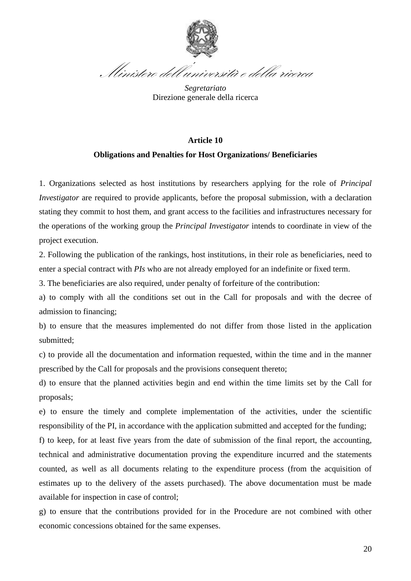

*Segretariato*  Direzione generale della ricerca

# **Article 10 Obligations and Penalties for Host Organizations/ Beneficiaries**

1. Organizations selected as host institutions by researchers applying for the role of *Principal Investigator* are required to provide applicants, before the proposal submission, with a declaration stating they commit to host them, and grant access to the facilities and infrastructures necessary for the operations of the working group the *Principal Investigator* intends to coordinate in view of the project execution.

2. Following the publication of the rankings, host institutions, in their role as beneficiaries, need to enter a special contract with *PIs* who are not already employed for an indefinite or fixed term.

3. The beneficiaries are also required, under penalty of forfeiture of the contribution:

a) to comply with all the conditions set out in the Call for proposals and with the decree of admission to financing;

b) to ensure that the measures implemented do not differ from those listed in the application submitted;

c) to provide all the documentation and information requested, within the time and in the manner prescribed by the Call for proposals and the provisions consequent thereto;

d) to ensure that the planned activities begin and end within the time limits set by the Call for proposals;

e) to ensure the timely and complete implementation of the activities, under the scientific responsibility of the PI, in accordance with the application submitted and accepted for the funding;

f) to keep, for at least five years from the date of submission of the final report, the accounting, technical and administrative documentation proving the expenditure incurred and the statements counted, as well as all documents relating to the expenditure process (from the acquisition of estimates up to the delivery of the assets purchased). The above documentation must be made available for inspection in case of control;

g) to ensure that the contributions provided for in the Procedure are not combined with other economic concessions obtained for the same expenses.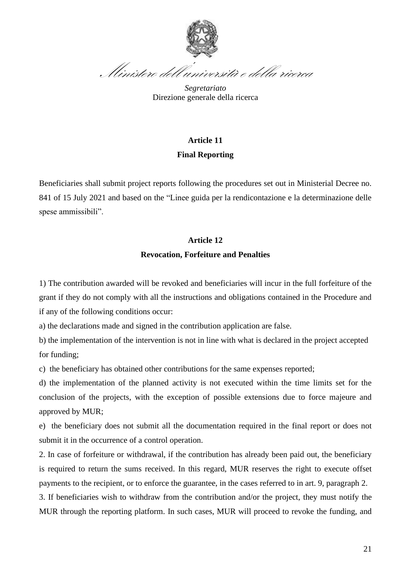

*Segretariato*  Direzione generale della ricerca

# **Article 11 Final Reporting**

Beneficiaries shall submit project reports following the procedures set out in Ministerial Decree no. 841 of 15 July 2021 and based on the "Linee guida per la rendicontazione e la determinazione delle spese ammissibili".

### **Article 12**

## **Revocation, Forfeiture and Penalties**

1) The contribution awarded will be revoked and beneficiaries will incur in the full forfeiture of the grant if they do not comply with all the instructions and obligations contained in the Procedure and if any of the following conditions occur:

a) the declarations made and signed in the contribution application are false.

b) the implementation of the intervention is not in line with what is declared in the project accepted for funding;

c) the beneficiary has obtained other contributions for the same expenses reported;

d) the implementation of the planned activity is not executed within the time limits set for the conclusion of the projects, with the exception of possible extensions due to force majeure and approved by MUR;

e) the beneficiary does not submit all the documentation required in the final report or does not submit it in the occurrence of a control operation.

2. In case of forfeiture or withdrawal, if the contribution has already been paid out, the beneficiary is required to return the sums received. In this regard, MUR reserves the right to execute offset payments to the recipient, or to enforce the guarantee, in the cases referred to in art. 9, paragraph 2.

3. If beneficiaries wish to withdraw from the contribution and/or the project, they must notify the MUR through the reporting platform. In such cases, MUR will proceed to revoke the funding, and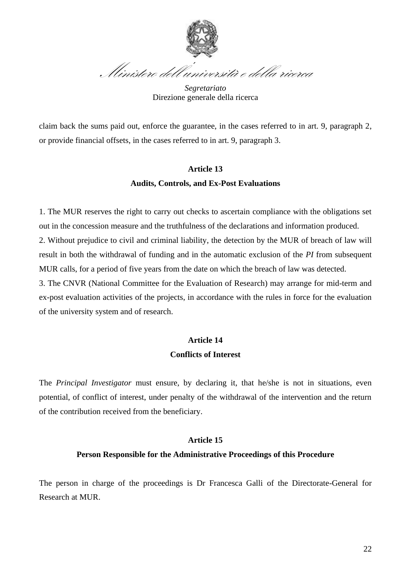

*Segretariato*  Direzione generale della ricerca

claim back the sums paid out, enforce the guarantee, in the cases referred to in art. 9, paragraph 2, or provide financial offsets, in the cases referred to in art. 9, paragraph 3.

## **Article 13 Audits, Controls, and Ex-Post Evaluations**

1. The MUR reserves the right to carry out checks to ascertain compliance with the obligations set out in the concession measure and the truthfulness of the declarations and information produced. 2. Without prejudice to civil and criminal liability, the detection by the MUR of breach of law will result in both the withdrawal of funding and in the automatic exclusion of the *PI* from subsequent MUR calls, for a period of five years from the date on which the breach of law was detected. 3. The CNVR (National Committee for the Evaluation of Research) may arrange for mid-term and

ex-post evaluation activities of the projects, in accordance with the rules in force for the evaluation of the university system and of research.

## **Article 14 Conflicts of Interest**

The *Principal Investigator* must ensure, by declaring it, that he/she is not in situations, even potential, of conflict of interest, under penalty of the withdrawal of the intervention and the return of the contribution received from the beneficiary.

#### **Article 15**

#### **Person Responsible for the Administrative Proceedings of this Procedure**

The person in charge of the proceedings is Dr Francesca Galli of the Directorate-General for Research at MUR.